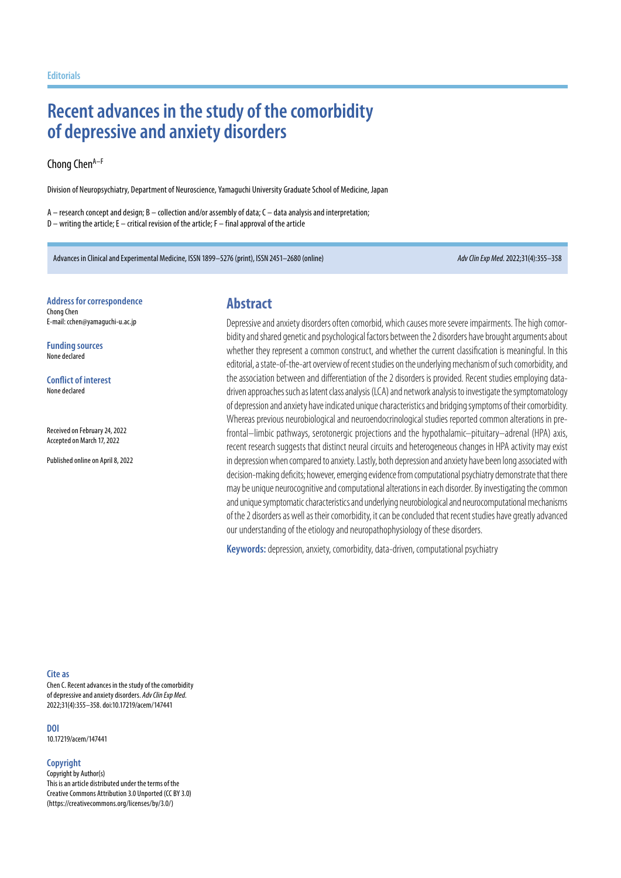# **Recent advances in the study of the comorbidity of depressive and anxiety disorders**

### Chong Chen<sup>A–F</sup>

Division of Neuropsychiatry, Department of Neuroscience, Yamaguchi University Graduate School of Medicine, Japan

 $A$  – research concept and design;  $B$  – collection and/or assembly of data;  $C$  – data analysis and interpretation; D – writing the article; E – critical revision of the article; F – final approval of the article

Advances in Clinical and Experimental Medicine, ISSN 1899–5276 (print), ISSN 2451–2680 (online) *Adv Clin Exp Med*. 2022;31(4):355–358

#### **Address for correspondence** Chong Chen E-mail: cchen@yamaguchi-u.ac.jp

**Funding sources** None declared

**Conflict of interest** None declared

Received on February 24, 2022 Accepted on March 17, 2022

Published online on April 8, 2022

### **Abstract**

Depressive and anxiety disorders often comorbid, which causes more severe impairments. The high comorbidity and shared genetic and psychological factors between the2disorders have brought arguments about whether they represent a common construct, and whether the current classification is meaningful. In this editorial, a state-of-the-art overview of recent studies on the underlying mechanism of such comorbidity, and the association between and differentiation of the 2 disorders is provided. Recent studies employing datadriven approaches such as latent class analysis (LCA) and network analysis to investigate the symptomatology ofdepression and anxiety have indicated unique characteristics and bridging symptoms of their comorbidity. Whereas previous neurobiological and neuroendocrinological studies reported common alterations in prefrontal–limbic pathways, serotonergic projections and the hypothalamic–pituitary–adrenal (HPA) axis, recent research suggests that distinct neural circuits and heterogeneous changes in HPA activity may exist in depression when compared to anxiety. Lastly, both depression and anxiety have been long associated with decision-making deficits; however, emerging evidence from computational psychiatry demonstrate that there may be unique neurocognitive and computational alterations ineach disorder. Byinvestigating thecommon and unique symptomatic characteristics and underlying neurobiological and neurocomputational mechanisms of the 2 disorders as well as their comorbidity, it can be concluded that recent studies have greatly advanced our understanding of the etiology and neuropathophysiology of these disorders.

**Keywords:** depression, anxiety, comorbidity, data-driven, computational psychiatry

### **Cite as**

Chen C. Recent advances in the study of the comorbidity of depressive and anxiety disorders. *Adv Clin Exp Med*. 2022;31(4):355–358. doi:10.17219/acem/147441

### **DOI**

10.17219/acem/147441

### **Copyright**

Copyright by Author(s) This is an article distributed under the terms of the Creative Commons Attribution 3.0 Unported (CC BY 3.0) (https://creativecommons.org/licenses/by/3.0/)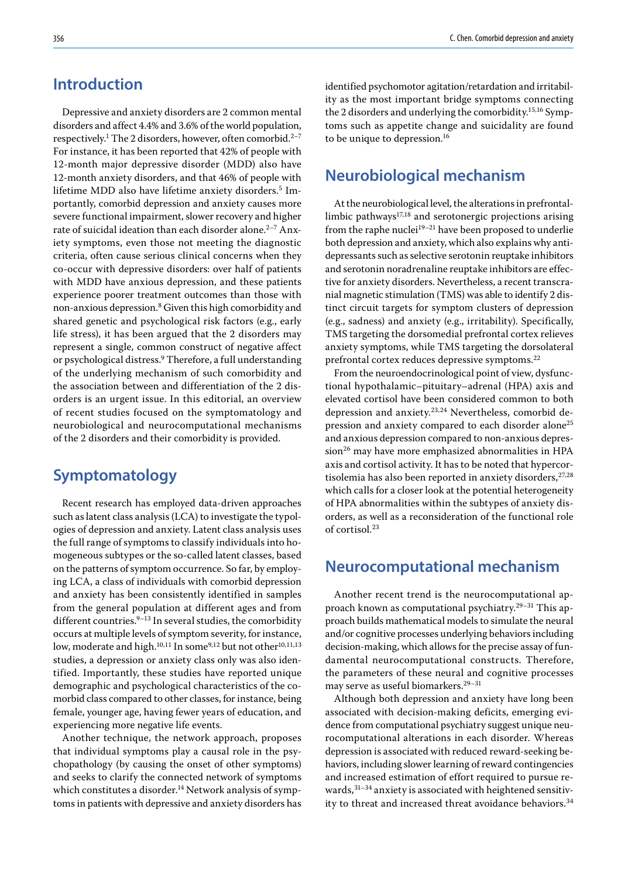## **Introduction**

Depressive and anxiety disorders are 2 common mental disorders and affect 4.4% and 3.6% of the world population, respectively.<sup>1</sup> The 2 disorders, however, often comorbid.<sup>2–7</sup> For instance, it has been reported that 42% of people with 12-month major depressive disorder (MDD) also have 12-month anxiety disorders, and that 46% of people with lifetime MDD also have lifetime anxiety disorders.<sup>5</sup> Importantly, comorbid depression and anxiety causes more severe functional impairment, slower recovery and higher rate of suicidal ideation than each disorder alone.<sup>2-7</sup> Anxiety symptoms, even those not meeting the diagnostic criteria, often cause serious clinical concerns when they co-occur with depressive disorders: over half of patients with MDD have anxious depression, and these patients experience poorer treatment outcomes than those with non-anxious depression.<sup>8</sup> Given this high comorbidity and shared genetic and psychological risk factors (e.g., early life stress), it has been argued that the 2 disorders may represent a single, common construct of negative affect or psychological distress.<sup>9</sup> Therefore, a full understanding of the underlying mechanism of such comorbidity and the association between and differentiation of the 2 disorders is an urgent issue. In this editorial, an overview of recent studies focused on the symptomatology and neurobiological and neurocomputational mechanisms of the 2 disorders and their comorbidity is provided.

## **Symptomatology**

Recent research has employed data-driven approaches such as latent class analysis (LCA) to investigate the typologies of depression and anxiety. Latent class analysis uses the full range of symptoms to classify individuals into homogeneous subtypes or the so-called latent classes, based on the patterns of symptom occurrence. So far, by employing LCA, a class of individuals with comorbid depression and anxiety has been consistently identified in samples from the general population at different ages and from different countries.<sup>9-13</sup> In several studies, the comorbidity occurs at multiple levels of symptom severity, for instance, low, moderate and high.<sup>10,11</sup> In some<sup>9,12</sup> but not other<sup>10,11,13</sup> studies, a depression or anxiety class only was also identified. Importantly, these studies have reported unique demographic and psychological characteristics of the comorbid class compared to other classes, for instance, being female, younger age, having fewer years of education, and experiencing more negative life events.

Another technique, the network approach, proposes that individual symptoms play a causal role in the psychopathology (by causing the onset of other symptoms) and seeks to clarify the connected network of symptoms which constitutes a disorder.<sup>14</sup> Network analysis of symptoms in patients with depressive and anxiety disorders has identified psychomotor agitation/retardation and irritability as the most important bridge symptoms connecting the 2 disorders and underlying the comorbidity.15,16 Symptoms such as appetite change and suicidality are found to be unique to depression.16

# **Neurobiological mechanism**

At the neurobiological level, the alterations in prefrontallimbic pathways $17,18$  and serotonergic projections arising from the raphe nuclei<sup>19–21</sup> have been proposed to underlie both depression and anxiety, which also explains why antidepressants such as selective serotonin reuptake inhibitors and serotonin noradrenaline reuptake inhibitors are effective for anxiety disorders. Nevertheless, a recent transcranial magnetic stimulation (TMS) was able to identify 2 distinct circuit targets for symptom clusters of depression (e.g., sadness) and anxiety (e.g., irritability). Specifically, TMS targeting the dorsomedial prefrontal cortex relieves anxiety symptoms, while TMS targeting the dorsolateral prefrontal cortex reduces depressive symptoms.<sup>22</sup>

From the neuroendocrinological point of view, dysfunctional hypothalamic–pituitary–adrenal (HPA) axis and elevated cortisol have been considered common to both depression and anxiety.23,24 Nevertheless, comorbid depression and anxiety compared to each disorder alone<sup>25</sup> and anxious depression compared to non-anxious depression<sup>26</sup> may have more emphasized abnormalities in HPA axis and cortisol activity. It has to be noted that hypercortisolemia has also been reported in anxiety disorders, 27,28 which calls for a closer look at the potential heterogeneity of HPA abnormalities within the subtypes of anxiety disorders, as well as a reconsideration of the functional role of cortisol.<sup>23</sup>

### **Neurocomputational mechanism**

Another recent trend is the neurocomputational approach known as computational psychiatry.29–31 This approach builds mathematical models to simulate the neural and/or cognitive processes underlying behaviors including decision-making, which allows for the precise assay of fundamental neurocomputational constructs. Therefore, the parameters of these neural and cognitive processes may serve as useful biomarkers.29–31

Although both depression and anxiety have long been associated with decision-making deficits, emerging evidence from computational psychiatry suggest unique neurocomputational alterations in each disorder. Whereas depression is associated with reduced reward-seeking behaviors, including slower learning of reward contingencies and increased estimation of effort required to pursue rewards,31–34 anxiety is associated with heightened sensitivity to threat and increased threat avoidance behaviors.<sup>34</sup>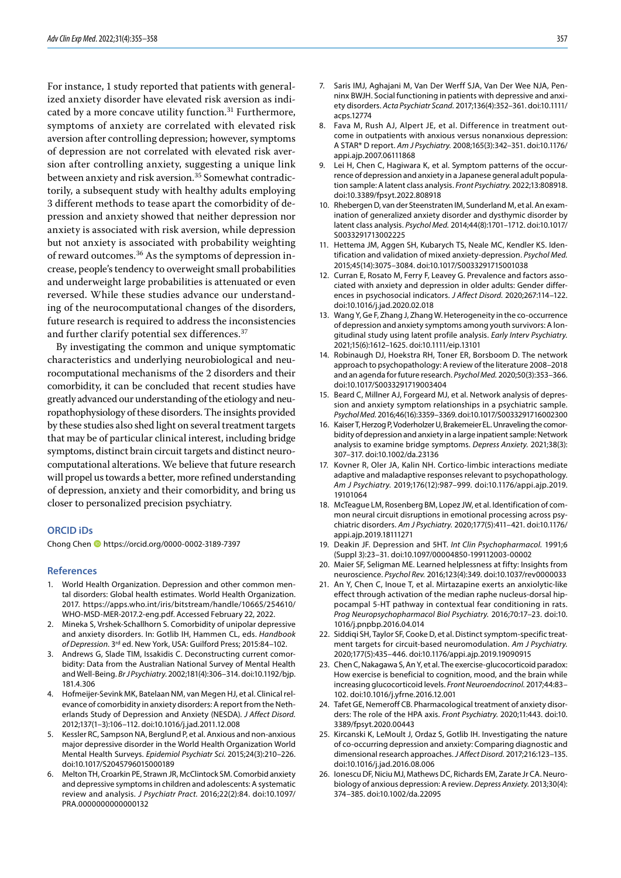For instance, 1 study reported that patients with generalized anxiety disorder have elevated risk aversion as indicated by a more concave utility function.<sup>31</sup> Furthermore, symptoms of anxiety are correlated with elevated risk aversion after controlling depression; however, symptoms of depression are not correlated with elevated risk aversion after controlling anxiety, suggesting a unique link between anxiety and risk aversion.<sup>35</sup> Somewhat contradictorily, a subsequent study with healthy adults employing 3 different methods to tease apart the comorbidity of depression and anxiety showed that neither depression nor anxiety is associated with risk aversion, while depression but not anxiety is associated with probability weighting of reward outcomes.<sup>36</sup> As the symptoms of depression increase, people's tendency to overweight small probabilities and underweight large probabilities is attenuated or even reversed. While these studies advance our understanding of the neurocomputational changes of the disorders, future research is required to address the inconsistencies and further clarify potential sex differences.<sup>37</sup>

By investigating the common and unique symptomatic characteristics and underlying neurobiological and neurocomputational mechanisms of the 2 disorders and their comorbidity, it can be concluded that recent studies have greatly advanced our understanding of the etiology and neuropathophysiology of these disorders. The insights provided by these studies also shed light on several treatment targets that may be of particular clinical interest, including bridge symptoms, distinct brain circuit targets and distinct neurocomputational alterations. We believe that future research will propel us towards a better, more refined understanding of depression, anxiety and their comorbidity, and bring us closer to personalized precision psychiatry.

### **ORCID iDs**

Chong Chen https://orcid.org/0000-0002-3189-7397

### **References**

- 1. World Health Organization. Depression and other common mental disorders: Global health estimates. World Health Organization. 2017. [https://apps.who.int/iris/bitstream/handle/10665/254610/](https://apps.who.int/iris/bitstream/handle/10665/254610/WHO-MSD-MER-2017.2-eng.pdf) [WHO-MSD-MER-2017.2-eng.pdf](https://apps.who.int/iris/bitstream/handle/10665/254610/WHO-MSD-MER-2017.2-eng.pdf). Accessed February 22, 2022.
- 2. Mineka S, Vrshek-Schallhorn S. Comorbidity of unipolar depressive and anxiety disorders. In: Gotlib IH, Hammen CL, eds. *Handbook of Depression*. 3rd ed. New York, USA: Guilford Press; 2015:84–102.
- 3. Andrews G, Slade TIM, Issakidis C. Deconstructing current comorbidity: Data from the Australian National Survey of Mental Health and Well-Being. *Br J Psychiatry*. 2002;181(4):306–314. doi:10.1192/bjp. 181.4.306
- 4. Hofmeijer-Sevink MK, Batelaan NM, van Megen HJ, et al. Clinical relevance of comorbidity in anxiety disorders: A report from the Netherlands Study of Depression and Anxiety (NESDA). *J Affect Disord.*  2012;137(1–3):106–112. doi:10.1016/j.jad.2011.12.008
- 5. Kessler RC, Sampson NA, Berglund P, et al. Anxious and non-anxious major depressive disorder in the World Health Organization World Mental Health Surveys. *Epidemiol Psychiatr Sci.* 2015;24(3):210–226. doi:10.1017/S2045796015000189
- 6. Melton TH, Croarkin PE, Strawn JR, McClintock SM. Comorbid anxiety and depressive symptoms in children and adolescents: A systematic review and analysis. *J Psychiatr Pract.* 2016;22(2):84. doi:10.1097/ PRA.0000000000000132
- 8. Fava M, Rush AJ, Alpert JE, et al. Difference in treatment outcome in outpatients with anxious versus nonanxious depression: A STAR\* D report. *Am J Psychiatry.* 2008;165(3):342–351. doi:10.1176/ appi.ajp.2007.06111868
- 9. Lei H, Chen C, Hagiwara K, et al. Symptom patterns of the occurrence of depression and anxiety in a Japanese general adult population sample: A latent class analysis. *Front Psychiatry.* 2022;13:808918. doi:10.3389/fpsyt.2022.808918
- 10. Rhebergen D, van der Steenstraten IM, Sunderland M, et al. An examination of generalized anxiety disorder and dysthymic disorder by latent class analysis. *Psychol Med.* 2014;44(8):1701–1712. doi:10.1017/ S0033291713002225
- 11. Hettema JM, Aggen SH, Kubarych TS, Neale MC, Kendler KS. Identification and validation of mixed anxiety-depression. *Psychol Med.* 2015;45(14):3075–3084. doi:10.1017/S0033291715001038
- 12. Curran E, Rosato M, Ferry F, Leavey G. Prevalence and factors associated with anxiety and depression in older adults: Gender differences in psychosocial indicators. *J Affect Disord.* 2020;267:114–122. doi:10.1016/j.jad.2020.02.018
- 13. Wang Y, Ge F, Zhang J, Zhang W. Heterogeneity in the co‐occurrence of depression and anxiety symptoms among youth survivors: A longitudinal study using latent profile analysis. *Early Interv Psychiatry.* 2021;15(6):1612–1625. doi:10.1111/eip.13101
- 14. Robinaugh DJ, Hoekstra RH, Toner ER, Borsboom D. The network approach to psychopathology: A review of the literature 2008–2018 and an agenda for future research. *Psychol Med.* 2020;50(3):353–366. doi:10.1017/S0033291719003404
- 15. Beard C, Millner AJ, Forgeard MJ, et al. Network analysis of depression and anxiety symptom relationships in a psychiatric sample. *Psychol Med.* 2016;46(16):3359–3369. doi:10.1017/S0033291716002300
- 16. Kaiser T, Herzog P, Voderholzer U, Brakemeier EL. Unraveling the comorbidity of depression and anxiety in a large inpatient sample: Network analysis to examine bridge symptoms. *Depress Anxiety.* 2021;38(3): 307–317. doi:10.1002/da.23136
- 17. Kovner R, Oler JA, Kalin NH. Cortico-limbic interactions mediate adaptive and maladaptive responses relevant to psychopathology. *Am J Psychiatry.* 2019;176(12):987–999. doi:10.1176/appi.ajp.2019. 19101064
- 18. McTeague LM, Rosenberg BM, Lopez JW, et al. Identification of common neural circuit disruptions in emotional processing across psychiatric disorders. *Am J Psychiatry.* 2020;177(5):411–421. doi:10.1176/ appi.ajp.2019.18111271
- 19. Deakin JF. Depression and 5HT. *Int Clin Psychopharmacol.* 1991;6 (Suppl 3):23–31. doi:10.1097/00004850-199112003-00002
- 20. Maier SF, Seligman ME. Learned helplessness at fifty: Insights from neuroscience. *Psychol Rev.* 2016;123(4):349. doi:10.1037/rev0000033
- 21. An Y, Chen C, Inoue T, et al. Mirtazapine exerts an anxiolytic-like effect through activation of the median raphe nucleus-dorsal hippocampal 5-HT pathway in contextual fear conditioning in rats. *Prog Neuropsychopharmacol Biol Psychiatry.* 2016;70:17–23. doi:10. 1016/j.pnpbp.2016.04.014
- 22. Siddiqi SH, Taylor SF, Cooke D, et al. Distinct symptom-specific treatment targets for circuit-based neuromodulation. *Am J Psychiatry.* 2020;177(5):435–446. doi:10.1176/appi.ajp.2019.19090915
- 23. Chen C, Nakagawa S, An Y, et al. The exercise-glucocorticoid paradox: How exercise is beneficial to cognition, mood, and the brain while increasing glucocorticoid levels. *Front Neuroendocrinol.* 2017;44:83– 102. doi:10.1016/j.yfrne.2016.12.001
- 24. Tafet GE, Nemeroff CB. Pharmacological treatment of anxiety disorders: The role of the HPA axis. *Front Psychiatry.* 2020;11:443. doi:10. 3389/fpsyt.2020.00443
- 25. Kircanski K, LeMoult J, Ordaz S, Gotlib IH. Investigating the nature of co-occurring depression and anxiety: Comparing diagnostic and dimensional research approaches. *J Affect Disord.* 2017;216:123–135. doi:10.1016/j.jad.2016.08.006
- 26. Ionescu DF, Niciu MJ, Mathews DC, Richards EM, Zarate Jr CA. Neurobiology of anxious depression: A review. *Depress Anxiety.* 2013;30(4): 374–385. doi:10.1002/da.22095